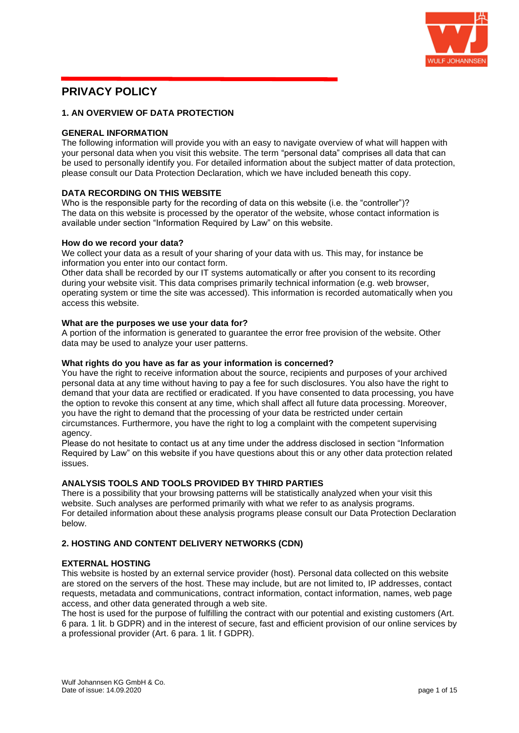

# **PRIVACY POLICY**

### **1. AN OVERVIEW OF DATA PROTECTION**

### **GENERAL INFORMATION**

The following information will provide you with an easy to navigate overview of what will happen with your personal data when you visit this website. The term "personal data" comprises all data that can be used to personally identify you. For detailed information about the subject matter of data protection, please consult our Data Protection Declaration, which we have included beneath this copy.

### **DATA RECORDING ON THIS WEBSITE**

Who is the responsible party for the recording of data on this website (i.e. the "controller")? The data on this website is processed by the operator of the website, whose contact information is available under section "Information Required by Law" on this website.

#### **How do we record your data?**

We collect your data as a result of your sharing of your data with us. This may, for instance be information you enter into our contact form.

Other data shall be recorded by our IT systems automatically or after you consent to its recording during your website visit. This data comprises primarily technical information (e.g. web browser, operating system or time the site was accessed). This information is recorded automatically when you access this website.

#### **What are the purposes we use your data for?**

A portion of the information is generated to guarantee the error free provision of the website. Other data may be used to analyze your user patterns.

### **What rights do you have as far as your information is concerned?**

You have the right to receive information about the source, recipients and purposes of your archived personal data at any time without having to pay a fee for such disclosures. You also have the right to demand that your data are rectified or eradicated. If you have consented to data processing, you have the option to revoke this consent at any time, which shall affect all future data processing. Moreover, you have the right to demand that the processing of your data be restricted under certain circumstances. Furthermore, you have the right to log a complaint with the competent supervising agency.

Please do not hesitate to contact us at any time under the address disclosed in section "Information Required by Law" on this website if you have questions about this or any other data protection related issues.

### **ANALYSIS TOOLS AND TOOLS PROVIDED BY THIRD PARTIES**

There is a possibility that your browsing patterns will be statistically analyzed when your visit this website. Such analyses are performed primarily with what we refer to as analysis programs. For detailed information about these analysis programs please consult our Data Protection Declaration below.

# **2. HOSTING AND CONTENT DELIVERY NETWORKS (CDN)**

#### **EXTERNAL HOSTING**

This website is hosted by an external service provider (host). Personal data collected on this website are stored on the servers of the host. These may include, but are not limited to, IP addresses, contact requests, metadata and communications, contract information, contact information, names, web page access, and other data generated through a web site.

The host is used for the purpose of fulfilling the contract with our potential and existing customers (Art. 6 para. 1 lit. b GDPR) and in the interest of secure, fast and efficient provision of our online services by a professional provider (Art. 6 para. 1 lit. f GDPR).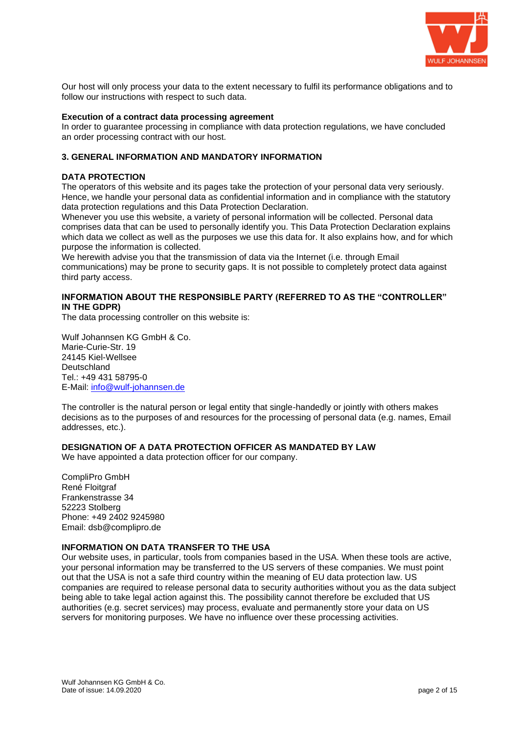

Our host will only process your data to the extent necessary to fulfil its performance obligations and to follow our instructions with respect to such data.

#### **Execution of a contract data processing agreement**

In order to guarantee processing in compliance with data protection regulations, we have concluded an order processing contract with our host.

### **3. GENERAL INFORMATION AND MANDATORY INFORMATION**

#### **DATA PROTECTION**

The operators of this website and its pages take the protection of your personal data very seriously. Hence, we handle your personal data as confidential information and in compliance with the statutory data protection regulations and this Data Protection Declaration.

Whenever you use this website, a variety of personal information will be collected. Personal data comprises data that can be used to personally identify you. This Data Protection Declaration explains which data we collect as well as the purposes we use this data for. It also explains how, and for which purpose the information is collected.

We herewith advise you that the transmission of data via the Internet (i.e. through Email communications) may be prone to security gaps. It is not possible to completely protect data against third party access.

### **INFORMATION ABOUT THE RESPONSIBLE PARTY (REFERRED TO AS THE "CONTROLLER" IN THE GDPR)**

The data processing controller on this website is:

Wulf Johannsen KG GmbH & Co. Marie-Curie-Str. 19 24145 Kiel-Wellsee Deutschland Tel.: +49 431 58795-0 E-Mail: [info@wulf-johannsen.de](mailto:info@wulf-johannsen.de)

The controller is the natural person or legal entity that single-handedly or jointly with others makes decisions as to the purposes of and resources for the processing of personal data (e.g. names, Email addresses, etc.).

#### **DESIGNATION OF A DATA PROTECTION OFFICER AS MANDATED BY LAW**

We have appointed a data protection officer for our company.

CompliPro GmbH René Floitgraf Frankenstrasse 34 52223 Stolberg Phone: +49 2402 9245980 Email: dsb@complipro.de

### **INFORMATION ON DATA TRANSFER TO THE USA**

Our website uses, in particular, tools from companies based in the USA. When these tools are active, your personal information may be transferred to the US servers of these companies. We must point out that the USA is not a safe third country within the meaning of EU data protection law. US companies are required to release personal data to security authorities without you as the data subject being able to take legal action against this. The possibility cannot therefore be excluded that US authorities (e.g. secret services) may process, evaluate and permanently store your data on US servers for monitoring purposes. We have no influence over these processing activities.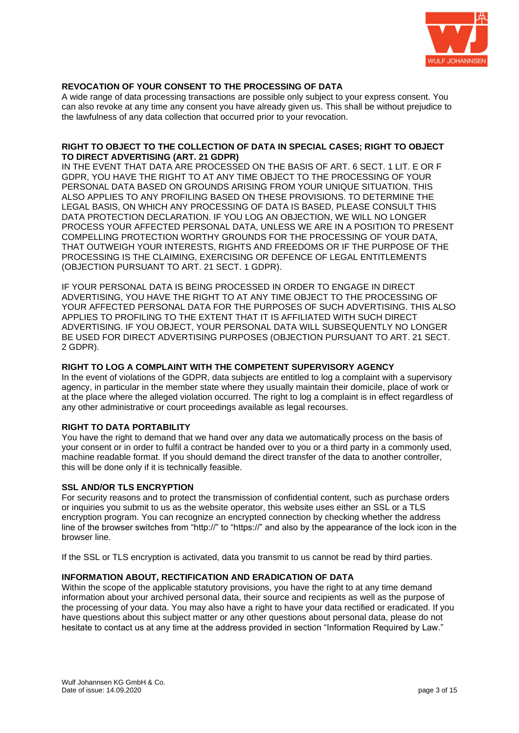

# **REVOCATION OF YOUR CONSENT TO THE PROCESSING OF DATA**

A wide range of data processing transactions are possible only subject to your express consent. You can also revoke at any time any consent you have already given us. This shall be without prejudice to the lawfulness of any data collection that occurred prior to your revocation.

#### **RIGHT TO OBJECT TO THE COLLECTION OF DATA IN SPECIAL CASES; RIGHT TO OBJECT TO DIRECT ADVERTISING (ART. 21 GDPR)**

IN THE EVENT THAT DATA ARE PROCESSED ON THE BASIS OF ART. 6 SECT. 1 LIT. E OR F GDPR, YOU HAVE THE RIGHT TO AT ANY TIME OBJECT TO THE PROCESSING OF YOUR PERSONAL DATA BASED ON GROUNDS ARISING FROM YOUR UNIQUE SITUATION. THIS ALSO APPLIES TO ANY PROFILING BASED ON THESE PROVISIONS. TO DETERMINE THE LEGAL BASIS, ON WHICH ANY PROCESSING OF DATA IS BASED, PLEASE CONSULT THIS DATA PROTECTION DECLARATION. IF YOU LOG AN OBJECTION, WE WILL NO LONGER PROCESS YOUR AFFECTED PERSONAL DATA, UNLESS WE ARE IN A POSITION TO PRESENT COMPELLING PROTECTION WORTHY GROUNDS FOR THE PROCESSING OF YOUR DATA, THAT OUTWEIGH YOUR INTERESTS, RIGHTS AND FREEDOMS OR IF THE PURPOSE OF THE PROCESSING IS THE CLAIMING, EXERCISING OR DEFENCE OF LEGAL ENTITLEMENTS (OBJECTION PURSUANT TO ART. 21 SECT. 1 GDPR).

IF YOUR PERSONAL DATA IS BEING PROCESSED IN ORDER TO ENGAGE IN DIRECT ADVERTISING, YOU HAVE THE RIGHT TO AT ANY TIME OBJECT TO THE PROCESSING OF YOUR AFFECTED PERSONAL DATA FOR THE PURPOSES OF SUCH ADVERTISING. THIS ALSO APPLIES TO PROFILING TO THE EXTENT THAT IT IS AFFILIATED WITH SUCH DIRECT ADVERTISING. IF YOU OBJECT, YOUR PERSONAL DATA WILL SUBSEQUENTLY NO LONGER BE USED FOR DIRECT ADVERTISING PURPOSES (OBJECTION PURSUANT TO ART. 21 SECT. 2 GDPR).

### **RIGHT TO LOG A COMPLAINT WITH THE COMPETENT SUPERVISORY AGENCY**

In the event of violations of the GDPR, data subjects are entitled to log a complaint with a supervisory agency, in particular in the member state where they usually maintain their domicile, place of work or at the place where the alleged violation occurred. The right to log a complaint is in effect regardless of any other administrative or court proceedings available as legal recourses.

#### **RIGHT TO DATA PORTABILITY**

You have the right to demand that we hand over any data we automatically process on the basis of your consent or in order to fulfil a contract be handed over to you or a third party in a commonly used, machine readable format. If you should demand the direct transfer of the data to another controller, this will be done only if it is technically feasible.

#### **SSL AND/OR TLS ENCRYPTION**

For security reasons and to protect the transmission of confidential content, such as purchase orders or inquiries you submit to us as the website operator, this website uses either an SSL or a TLS encryption program. You can recognize an encrypted connection by checking whether the address line of the browser switches from "http://" to "https://" and also by the appearance of the lock icon in the browser line.

If the SSL or TLS encryption is activated, data you transmit to us cannot be read by third parties.

### **INFORMATION ABOUT, RECTIFICATION AND ERADICATION OF DATA**

Within the scope of the applicable statutory provisions, you have the right to at any time demand information about your archived personal data, their source and recipients as well as the purpose of the processing of your data. You may also have a right to have your data rectified or eradicated. If you have questions about this subject matter or any other questions about personal data, please do not hesitate to contact us at any time at the address provided in section "Information Required by Law."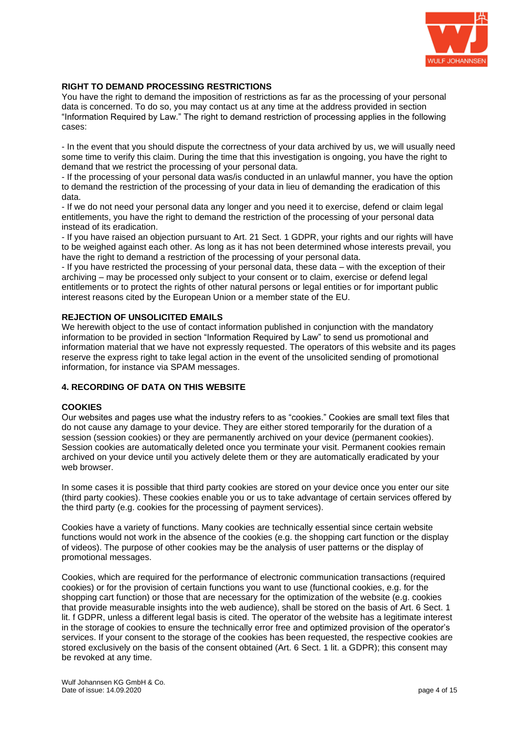

### **RIGHT TO DEMAND PROCESSING RESTRICTIONS**

You have the right to demand the imposition of restrictions as far as the processing of your personal data is concerned. To do so, you may contact us at any time at the address provided in section "Information Required by Law." The right to demand restriction of processing applies in the following cases:

- In the event that you should dispute the correctness of your data archived by us, we will usually need some time to verify this claim. During the time that this investigation is ongoing, you have the right to demand that we restrict the processing of your personal data.

- If the processing of your personal data was/is conducted in an unlawful manner, you have the option to demand the restriction of the processing of your data in lieu of demanding the eradication of this data.

- If we do not need your personal data any longer and you need it to exercise, defend or claim legal entitlements, you have the right to demand the restriction of the processing of your personal data instead of its eradication.

- If you have raised an objection pursuant to Art. 21 Sect. 1 GDPR, your rights and our rights will have to be weighed against each other. As long as it has not been determined whose interests prevail, you have the right to demand a restriction of the processing of your personal data.

- If you have restricted the processing of your personal data, these data – with the exception of their archiving – may be processed only subject to your consent or to claim, exercise or defend legal entitlements or to protect the rights of other natural persons or legal entities or for important public interest reasons cited by the European Union or a member state of the EU.

### **REJECTION OF UNSOLICITED EMAILS**

We herewith object to the use of contact information published in conjunction with the mandatory information to be provided in section "Information Required by Law" to send us promotional and information material that we have not expressly requested. The operators of this website and its pages reserve the express right to take legal action in the event of the unsolicited sending of promotional information, for instance via SPAM messages.

### **4. RECORDING OF DATA ON THIS WEBSITE**

#### **COOKIES**

Our websites and pages use what the industry refers to as "cookies." Cookies are small text files that do not cause any damage to your device. They are either stored temporarily for the duration of a session (session cookies) or they are permanently archived on your device (permanent cookies). Session cookies are automatically deleted once you terminate your visit. Permanent cookies remain archived on your device until you actively delete them or they are automatically eradicated by your web browser.

In some cases it is possible that third party cookies are stored on your device once you enter our site (third party cookies). These cookies enable you or us to take advantage of certain services offered by the third party (e.g. cookies for the processing of payment services).

Cookies have a variety of functions. Many cookies are technically essential since certain website functions would not work in the absence of the cookies (e.g. the shopping cart function or the display of videos). The purpose of other cookies may be the analysis of user patterns or the display of promotional messages.

Cookies, which are required for the performance of electronic communication transactions (required cookies) or for the provision of certain functions you want to use (functional cookies, e.g. for the shopping cart function) or those that are necessary for the optimization of the website (e.g. cookies that provide measurable insights into the web audience), shall be stored on the basis of Art. 6 Sect. 1 lit. f GDPR, unless a different legal basis is cited. The operator of the website has a legitimate interest in the storage of cookies to ensure the technically error free and optimized provision of the operator's services. If your consent to the storage of the cookies has been requested, the respective cookies are stored exclusively on the basis of the consent obtained (Art. 6 Sect. 1 lit. a GDPR); this consent may be revoked at any time.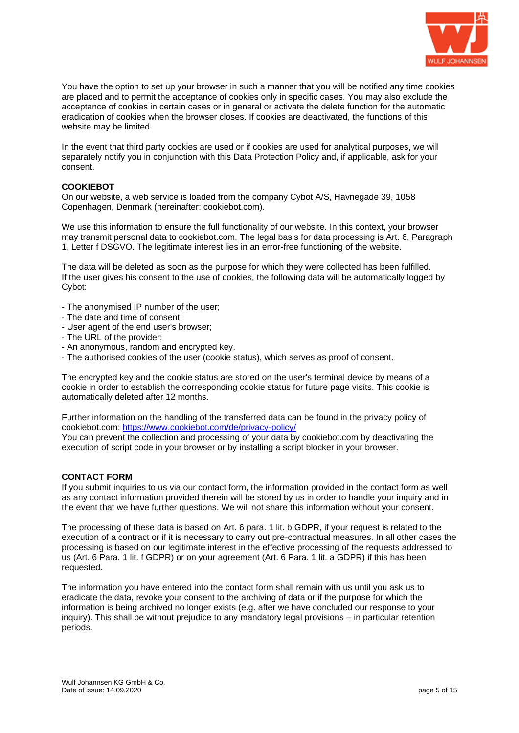

You have the option to set up your browser in such a manner that you will be notified any time cookies are placed and to permit the acceptance of cookies only in specific cases. You may also exclude the acceptance of cookies in certain cases or in general or activate the delete function for the automatic eradication of cookies when the browser closes. If cookies are deactivated, the functions of this website may be limited.

In the event that third party cookies are used or if cookies are used for analytical purposes, we will separately notify you in conjunction with this Data Protection Policy and, if applicable, ask for your consent.

### **COOKIEBOT**

On our website, a web service is loaded from the company Cybot A/S, Havnegade 39, 1058 Copenhagen, Denmark (hereinafter: cookiebot.com).

We use this information to ensure the full functionality of our website. In this context, your browser may transmit personal data to cookiebot.com. The legal basis for data processing is Art. 6, Paragraph 1, Letter f DSGVO. The legitimate interest lies in an error-free functioning of the website.

The data will be deleted as soon as the purpose for which they were collected has been fulfilled. If the user gives his consent to the use of cookies, the following data will be automatically logged by Cybot:

- The anonymised IP number of the user;
- The date and time of consent;
- User agent of the end user's browser;
- The URL of the provider;
- An anonymous, random and encrypted key.
- The authorised cookies of the user (cookie status), which serves as proof of consent.

The encrypted key and the cookie status are stored on the user's terminal device by means of a cookie in order to establish the corresponding cookie status for future page visits. This cookie is automatically deleted after 12 months.

Further information on the handling of the transferred data can be found in the privacy policy of cookiebot.com:<https://www.cookiebot.com/de/privacy-policy/>

You can prevent the collection and processing of your data by cookiebot.com by deactivating the execution of script code in your browser or by installing a script blocker in your browser.

#### **CONTACT FORM**

If you submit inquiries to us via our contact form, the information provided in the contact form as well as any contact information provided therein will be stored by us in order to handle your inquiry and in the event that we have further questions. We will not share this information without your consent.

The processing of these data is based on Art. 6 para. 1 lit. b GDPR, if your request is related to the execution of a contract or if it is necessary to carry out pre-contractual measures. In all other cases the processing is based on our legitimate interest in the effective processing of the requests addressed to us (Art. 6 Para. 1 lit. f GDPR) or on your agreement (Art. 6 Para. 1 lit. a GDPR) if this has been requested.

The information you have entered into the contact form shall remain with us until you ask us to eradicate the data, revoke your consent to the archiving of data or if the purpose for which the information is being archived no longer exists (e.g. after we have concluded our response to your inquiry). This shall be without prejudice to any mandatory legal provisions – in particular retention periods.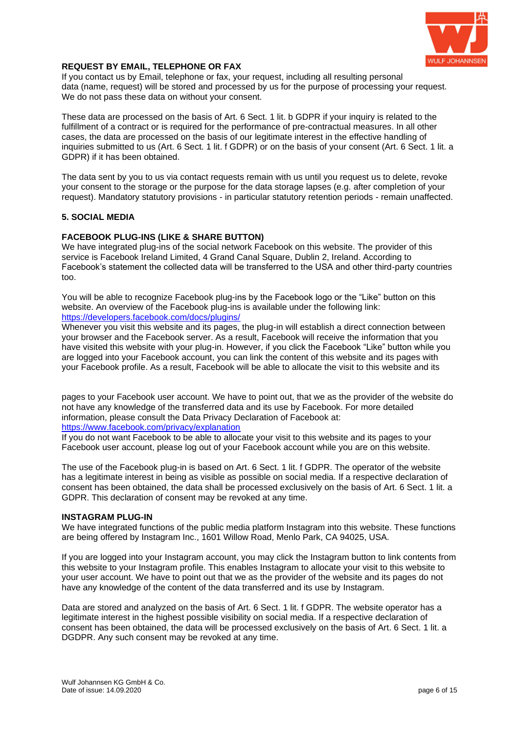

### **REQUEST BY EMAIL, TELEPHONE OR FAX**

If you contact us by Email, telephone or fax, your request, including all resulting personal data (name, request) will be stored and processed by us for the purpose of processing your request. We do not pass these data on without your consent.

These data are processed on the basis of Art. 6 Sect. 1 lit. b GDPR if your inquiry is related to the fulfillment of a contract or is required for the performance of pre-contractual measures. In all other cases, the data are processed on the basis of our legitimate interest in the effective handling of inquiries submitted to us (Art. 6 Sect. 1 lit. f GDPR) or on the basis of your consent (Art. 6 Sect. 1 lit. a GDPR) if it has been obtained.

The data sent by you to us via contact requests remain with us until you request us to delete, revoke your consent to the storage or the purpose for the data storage lapses (e.g. after completion of your request). Mandatory statutory provisions - in particular statutory retention periods - remain unaffected.

### **5. SOCIAL MEDIA**

#### **FACEBOOK PLUG-INS (LIKE & SHARE BUTTON)**

We have integrated plug-ins of the social network Facebook on this website. The provider of this service is Facebook Ireland Limited, 4 Grand Canal Square, Dublin 2, Ireland. According to Facebook's statement the collected data will be transferred to the USA and other third-party countries too.

You will be able to recognize Facebook plug-ins by the Facebook logo or the "Like" button on this website. An overview of the Facebook plug-ins is available under the following link: <https://developers.facebook.com/docs/plugins/>

Whenever you visit this website and its pages, the plug-in will establish a direct connection between your browser and the Facebook server. As a result, Facebook will receive the information that you have visited this website with your plug-in. However, if you click the Facebook "Like" button while you are logged into your Facebook account, you can link the content of this website and its pages with your Facebook profile. As a result, Facebook will be able to allocate the visit to this website and its

pages to your Facebook user account. We have to point out, that we as the provider of the website do not have any knowledge of the transferred data and its use by Facebook. For more detailed information, please consult the Data Privacy Declaration of Facebook at: <https://www.facebook.com/privacy/explanation>

If you do not want Facebook to be able to allocate your visit to this website and its pages to your Facebook user account, please log out of your Facebook account while you are on this website.

The use of the Facebook plug-in is based on Art. 6 Sect. 1 lit. f GDPR. The operator of the website has a legitimate interest in being as visible as possible on social media. If a respective declaration of consent has been obtained, the data shall be processed exclusively on the basis of Art. 6 Sect. 1 lit. a GDPR. This declaration of consent may be revoked at any time.

#### **INSTAGRAM PLUG-IN**

We have integrated functions of the public media platform Instagram into this website. These functions are being offered by Instagram Inc., 1601 Willow Road, Menlo Park, CA 94025, USA.

If you are logged into your Instagram account, you may click the Instagram button to link contents from this website to your Instagram profile. This enables Instagram to allocate your visit to this website to your user account. We have to point out that we as the provider of the website and its pages do not have any knowledge of the content of the data transferred and its use by Instagram.

Data are stored and analyzed on the basis of Art. 6 Sect. 1 lit. f GDPR. The website operator has a legitimate interest in the highest possible visibility on social media. If a respective declaration of consent has been obtained, the data will be processed exclusively on the basis of Art. 6 Sect. 1 lit. a DGDPR. Any such consent may be revoked at any time.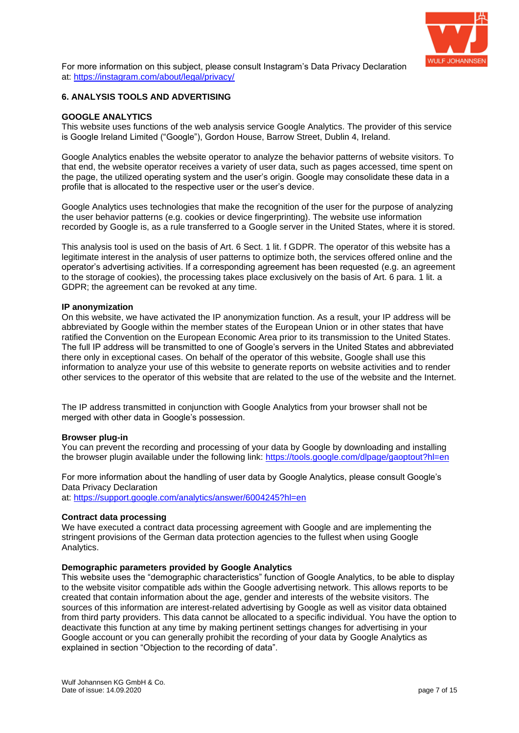

For more information on this subject, please consult Instagram's Data Privacy Declaration at:<https://instagram.com/about/legal/privacy/>

### **6. ANALYSIS TOOLS AND ADVERTISING**

### **GOOGLE ANALYTICS**

This website uses functions of the web analysis service Google Analytics. The provider of this service is Google Ireland Limited ("Google"), Gordon House, Barrow Street, Dublin 4, Ireland.

Google Analytics enables the website operator to analyze the behavior patterns of website visitors. To that end, the website operator receives a variety of user data, such as pages accessed, time spent on the page, the utilized operating system and the user's origin. Google may consolidate these data in a profile that is allocated to the respective user or the user's device.

Google Analytics uses technologies that make the recognition of the user for the purpose of analyzing the user behavior patterns (e.g. cookies or device fingerprinting). The website use information recorded by Google is, as a rule transferred to a Google server in the United States, where it is stored.

This analysis tool is used on the basis of Art. 6 Sect. 1 lit. f GDPR. The operator of this website has a legitimate interest in the analysis of user patterns to optimize both, the services offered online and the operator's advertising activities. If a corresponding agreement has been requested (e.g. an agreement to the storage of cookies), the processing takes place exclusively on the basis of Art. 6 para. 1 lit. a GDPR; the agreement can be revoked at any time.

#### **IP anonymization**

On this website, we have activated the IP anonymization function. As a result, your IP address will be abbreviated by Google within the member states of the European Union or in other states that have ratified the Convention on the European Economic Area prior to its transmission to the United States. The full IP address will be transmitted to one of Google's servers in the United States and abbreviated there only in exceptional cases. On behalf of the operator of this website, Google shall use this information to analyze your use of this website to generate reports on website activities and to render other services to the operator of this website that are related to the use of the website and the Internet.

The IP address transmitted in conjunction with Google Analytics from your browser shall not be merged with other data in Google's possession.

#### **Browser plug-in**

You can prevent the recording and processing of your data by Google by downloading and installing the browser plugin available under the following link:<https://tools.google.com/dlpage/gaoptout?hl=en>

For more information about the handling of user data by Google Analytics, please consult Google's Data Privacy Declaration

at:<https://support.google.com/analytics/answer/6004245?hl=en>

#### **Contract data processing**

We have executed a contract data processing agreement with Google and are implementing the stringent provisions of the German data protection agencies to the fullest when using Google Analytics.

### **Demographic parameters provided by Google Analytics**

This website uses the "demographic characteristics" function of Google Analytics, to be able to display to the website visitor compatible ads within the Google advertising network. This allows reports to be created that contain information about the age, gender and interests of the website visitors. The sources of this information are interest-related advertising by Google as well as visitor data obtained from third party providers. This data cannot be allocated to a specific individual. You have the option to deactivate this function at any time by making pertinent settings changes for advertising in your Google account or you can generally prohibit the recording of your data by Google Analytics as explained in section "Objection to the recording of data".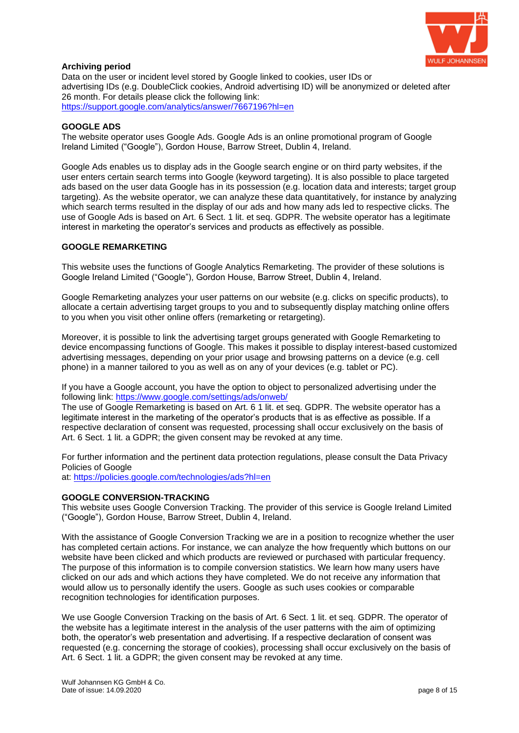

### **Archiving period**

Data on the user or incident level stored by Google linked to cookies, user IDs or advertising IDs (e.g. DoubleClick cookies, Android advertising ID) will be anonymized or deleted after 26 month. For details please click the following link: <https://support.google.com/analytics/answer/7667196?hl=en>

### **GOOGLE ADS**

The website operator uses Google Ads. Google Ads is an online promotional program of Google Ireland Limited ("Google"), Gordon House, Barrow Street, Dublin 4, Ireland.

Google Ads enables us to display ads in the Google search engine or on third party websites, if the user enters certain search terms into Google (keyword targeting). It is also possible to place targeted ads based on the user data Google has in its possession (e.g. location data and interests; target group targeting). As the website operator, we can analyze these data quantitatively, for instance by analyzing which search terms resulted in the display of our ads and how many ads led to respective clicks. The use of Google Ads is based on Art. 6 Sect. 1 lit. et seq. GDPR. The website operator has a legitimate interest in marketing the operator's services and products as effectively as possible.

### **GOOGLE REMARKETING**

This website uses the functions of Google Analytics Remarketing. The provider of these solutions is Google Ireland Limited ("Google"), Gordon House, Barrow Street, Dublin 4, Ireland.

Google Remarketing analyzes your user patterns on our website (e.g. clicks on specific products), to allocate a certain advertising target groups to you and to subsequently display matching online offers to you when you visit other online offers (remarketing or retargeting).

Moreover, it is possible to link the advertising target groups generated with Google Remarketing to device encompassing functions of Google. This makes it possible to display interest-based customized advertising messages, depending on your prior usage and browsing patterns on a device (e.g. cell phone) in a manner tailored to you as well as on any of your devices (e.g. tablet or PC).

If you have a Google account, you have the option to object to personalized advertising under the following link:<https://www.google.com/settings/ads/onweb/>

The use of Google Remarketing is based on Art. 6 1 lit. et seq. GDPR. The website operator has a legitimate interest in the marketing of the operator's products that is as effective as possible. If a respective declaration of consent was requested, processing shall occur exclusively on the basis of Art. 6 Sect. 1 lit. a GDPR; the given consent may be revoked at any time.

For further information and the pertinent data protection regulations, please consult the Data Privacy Policies of Google

at:<https://policies.google.com/technologies/ads?hl=en>

### **GOOGLE CONVERSION-TRACKING**

This website uses Google Conversion Tracking. The provider of this service is Google Ireland Limited ("Google"), Gordon House, Barrow Street, Dublin 4, Ireland.

With the assistance of Google Conversion Tracking we are in a position to recognize whether the user has completed certain actions. For instance, we can analyze the how frequently which buttons on our website have been clicked and which products are reviewed or purchased with particular frequency. The purpose of this information is to compile conversion statistics. We learn how many users have clicked on our ads and which actions they have completed. We do not receive any information that would allow us to personally identify the users. Google as such uses cookies or comparable recognition technologies for identification purposes.

We use Google Conversion Tracking on the basis of Art. 6 Sect. 1 lit. et seq. GDPR. The operator of the website has a legitimate interest in the analysis of the user patterns with the aim of optimizing both, the operator's web presentation and advertising. If a respective declaration of consent was requested (e.g. concerning the storage of cookies), processing shall occur exclusively on the basis of Art. 6 Sect. 1 lit. a GDPR; the given consent may be revoked at any time.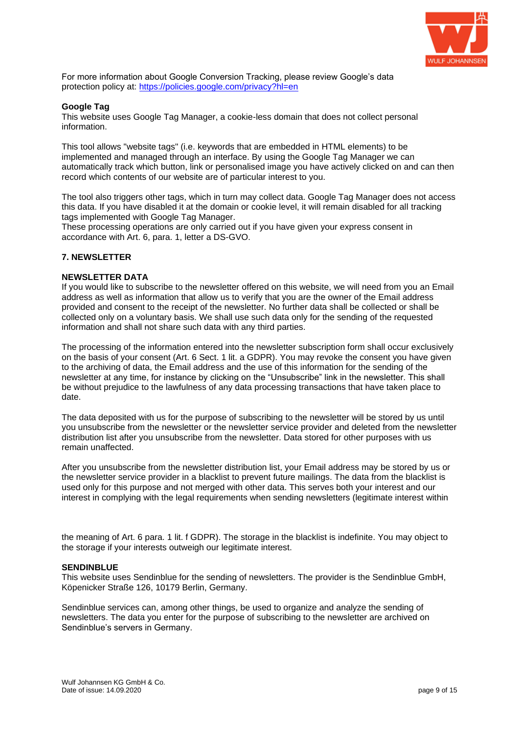

For more information about Google Conversion Tracking, please review Google's data protection policy at:<https://policies.google.com/privacy?hl=en>

### **Google Tag**

This website uses Google Tag Manager, a cookie-less domain that does not collect personal information.

This tool allows "website tags" (i.e. keywords that are embedded in HTML elements) to be implemented and managed through an interface. By using the Google Tag Manager we can automatically track which button, link or personalised image you have actively clicked on and can then record which contents of our website are of particular interest to you.

The tool also triggers other tags, which in turn may collect data. Google Tag Manager does not access this data. If you have disabled it at the domain or cookie level, it will remain disabled for all tracking tags implemented with Google Tag Manager.

These processing operations are only carried out if you have given your express consent in accordance with Art. 6, para. 1, letter a DS-GVO.

#### **7. NEWSLETTER**

#### **NEWSLETTER DATA**

If you would like to subscribe to the newsletter offered on this website, we will need from you an Email address as well as information that allow us to verify that you are the owner of the Email address provided and consent to the receipt of the newsletter. No further data shall be collected or shall be collected only on a voluntary basis. We shall use such data only for the sending of the requested information and shall not share such data with any third parties.

The processing of the information entered into the newsletter subscription form shall occur exclusively on the basis of your consent (Art. 6 Sect. 1 lit. a GDPR). You may revoke the consent you have given to the archiving of data, the Email address and the use of this information for the sending of the newsletter at any time, for instance by clicking on the "Unsubscribe" link in the newsletter. This shall be without prejudice to the lawfulness of any data processing transactions that have taken place to date.

The data deposited with us for the purpose of subscribing to the newsletter will be stored by us until you unsubscribe from the newsletter or the newsletter service provider and deleted from the newsletter distribution list after you unsubscribe from the newsletter. Data stored for other purposes with us remain unaffected.

After you unsubscribe from the newsletter distribution list, your Email address may be stored by us or the newsletter service provider in a blacklist to prevent future mailings. The data from the blacklist is used only for this purpose and not merged with other data. This serves both your interest and our interest in complying with the legal requirements when sending newsletters (legitimate interest within

the meaning of Art. 6 para. 1 lit. f GDPR). The storage in the blacklist is indefinite. You may object to the storage if your interests outweigh our legitimate interest.

#### **SENDINBLUE**

This website uses Sendinblue for the sending of newsletters. The provider is the Sendinblue GmbH, Köpenicker Straße 126, 10179 Berlin, Germany.

Sendinblue services can, among other things, be used to organize and analyze the sending of newsletters. The data you enter for the purpose of subscribing to the newsletter are archived on Sendinblue's servers in Germany.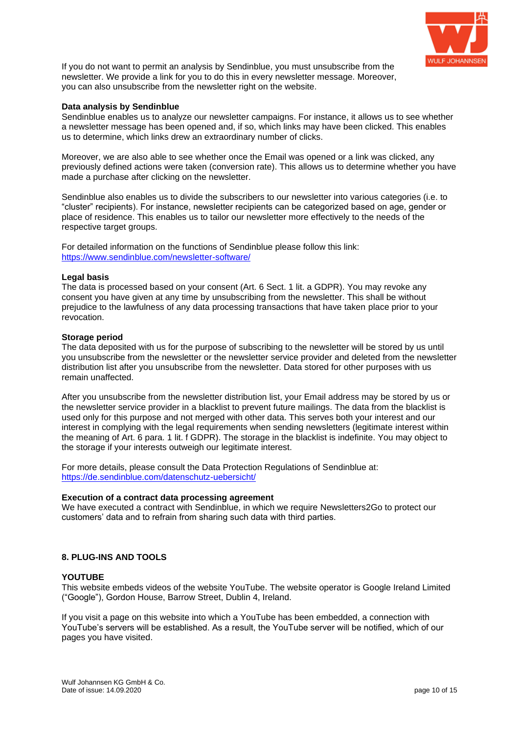

If you do not want to permit an analysis by Sendinblue, you must unsubscribe from the newsletter. We provide a link for you to do this in every newsletter message. Moreover, you can also unsubscribe from the newsletter right on the website.

#### **Data analysis by Sendinblue**

Sendinblue enables us to analyze our newsletter campaigns. For instance, it allows us to see whether a newsletter message has been opened and, if so, which links may have been clicked. This enables us to determine, which links drew an extraordinary number of clicks.

Moreover, we are also able to see whether once the Email was opened or a link was clicked, any previously defined actions were taken (conversion rate). This allows us to determine whether you have made a purchase after clicking on the newsletter.

Sendinblue also enables us to divide the subscribers to our newsletter into various categories (i.e. to "cluster" recipients). For instance, newsletter recipients can be categorized based on age, gender or place of residence. This enables us to tailor our newsletter more effectively to the needs of the respective target groups.

For detailed information on the functions of Sendinblue please follow this link: <https://www.sendinblue.com/newsletter-software/>

#### **Legal basis**

The data is processed based on your consent (Art. 6 Sect. 1 lit. a GDPR). You may revoke any consent you have given at any time by unsubscribing from the newsletter. This shall be without prejudice to the lawfulness of any data processing transactions that have taken place prior to your revocation.

#### **Storage period**

The data deposited with us for the purpose of subscribing to the newsletter will be stored by us until you unsubscribe from the newsletter or the newsletter service provider and deleted from the newsletter distribution list after you unsubscribe from the newsletter. Data stored for other purposes with us remain unaffected.

After you unsubscribe from the newsletter distribution list, your Email address may be stored by us or the newsletter service provider in a blacklist to prevent future mailings. The data from the blacklist is used only for this purpose and not merged with other data. This serves both your interest and our interest in complying with the legal requirements when sending newsletters (legitimate interest within the meaning of Art. 6 para. 1 lit. f GDPR). The storage in the blacklist is indefinite. You may object to the storage if your interests outweigh our legitimate interest.

For more details, please consult the Data Protection Regulations of Sendinblue at: <https://de.sendinblue.com/datenschutz-uebersicht/>

#### **Execution of a contract data processing agreement**

We have executed a contract with Sendinblue, in which we require Newsletters2Go to protect our customers' data and to refrain from sharing such data with third parties.

### **8. PLUG-INS AND TOOLS**

#### **YOUTUBE**

This website embeds videos of the website YouTube. The website operator is Google Ireland Limited ("Google"), Gordon House, Barrow Street, Dublin 4, Ireland.

If you visit a page on this website into which a YouTube has been embedded, a connection with YouTube's servers will be established. As a result, the YouTube server will be notified, which of our pages you have visited.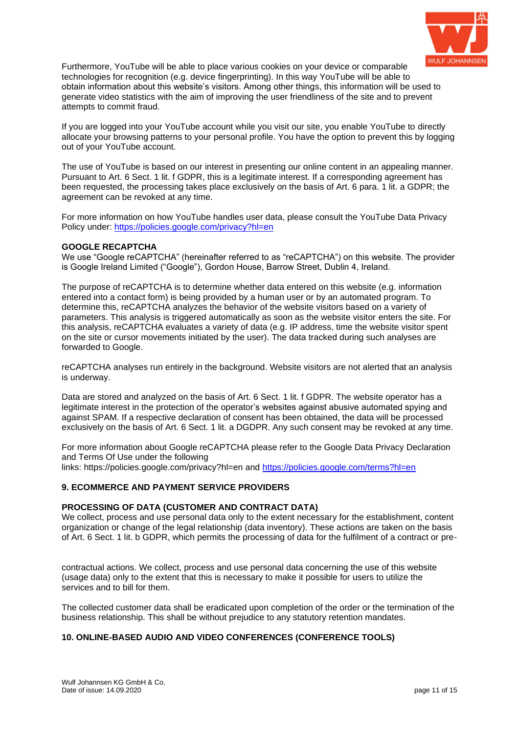

Furthermore, YouTube will be able to place various cookies on your device or comparable technologies for recognition (e.g. device fingerprinting). In this way YouTube will be able to obtain information about this website's visitors. Among other things, this information will be used to generate video statistics with the aim of improving the user friendliness of the site and to prevent attempts to commit fraud.

If you are logged into your YouTube account while you visit our site, you enable YouTube to directly allocate your browsing patterns to your personal profile. You have the option to prevent this by logging out of your YouTube account.

The use of YouTube is based on our interest in presenting our online content in an appealing manner. Pursuant to Art. 6 Sect. 1 lit. f GDPR, this is a legitimate interest. If a corresponding agreement has been requested, the processing takes place exclusively on the basis of Art. 6 para. 1 lit. a GDPR; the agreement can be revoked at any time.

For more information on how YouTube handles user data, please consult the YouTube Data Privacy Policy under:<https://policies.google.com/privacy?hl=en>

#### **GOOGLE RECAPTCHA**

We use "Google reCAPTCHA" (hereinafter referred to as "reCAPTCHA") on this website. The provider is Google Ireland Limited ("Google"), Gordon House, Barrow Street, Dublin 4, Ireland.

The purpose of reCAPTCHA is to determine whether data entered on this website (e.g. information entered into a contact form) is being provided by a human user or by an automated program. To determine this, reCAPTCHA analyzes the behavior of the website visitors based on a variety of parameters. This analysis is triggered automatically as soon as the website visitor enters the site. For this analysis, reCAPTCHA evaluates a variety of data (e.g. IP address, time the website visitor spent on the site or cursor movements initiated by the user). The data tracked during such analyses are forwarded to Google.

reCAPTCHA analyses run entirely in the background. Website visitors are not alerted that an analysis is underway.

Data are stored and analyzed on the basis of Art. 6 Sect. 1 lit. f GDPR. The website operator has a legitimate interest in the protection of the operator's websites against abusive automated spying and against SPAM. If a respective declaration of consent has been obtained, the data will be processed exclusively on the basis of Art. 6 Sect. 1 lit. a DGDPR. Any such consent may be revoked at any time.

For more information about Google reCAPTCHA please refer to the Google Data Privacy Declaration and Terms Of Use under the following

links: https://policies.google.com/privacy?hl=en and<https://policies.google.com/terms?hl=en>

### **9. ECOMMERCE AND PAYMENT SERVICE PROVIDERS**

#### **PROCESSING OF DATA (CUSTOMER AND CONTRACT DATA)**

We collect, process and use personal data only to the extent necessary for the establishment, content organization or change of the legal relationship (data inventory). These actions are taken on the basis of Art. 6 Sect. 1 lit. b GDPR, which permits the processing of data for the fulfilment of a contract or pre-

contractual actions. We collect, process and use personal data concerning the use of this website (usage data) only to the extent that this is necessary to make it possible for users to utilize the services and to bill for them.

The collected customer data shall be eradicated upon completion of the order or the termination of the business relationship. This shall be without prejudice to any statutory retention mandates.

### **10. ONLINE-BASED AUDIO AND VIDEO CONFERENCES (CONFERENCE TOOLS)**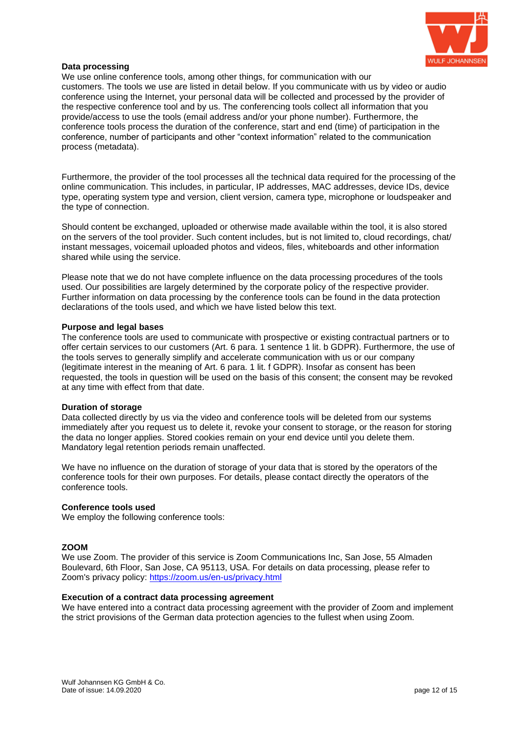

### **Data processing**

We use online conference tools, among other things, for communication with our customers. The tools we use are listed in detail below. If you communicate with us by video or audio conference using the Internet, your personal data will be collected and processed by the provider of the respective conference tool and by us. The conferencing tools collect all information that you provide/access to use the tools (email address and/or your phone number). Furthermore, the conference tools process the duration of the conference, start and end (time) of participation in the conference, number of participants and other "context information" related to the communication process (metadata).

Furthermore, the provider of the tool processes all the technical data required for the processing of the online communication. This includes, in particular, IP addresses, MAC addresses, device IDs, device type, operating system type and version, client version, camera type, microphone or loudspeaker and the type of connection.

Should content be exchanged, uploaded or otherwise made available within the tool, it is also stored on the servers of the tool provider. Such content includes, but is not limited to, cloud recordings, chat/ instant messages, voicemail uploaded photos and videos, files, whiteboards and other information shared while using the service.

Please note that we do not have complete influence on the data processing procedures of the tools used. Our possibilities are largely determined by the corporate policy of the respective provider. Further information on data processing by the conference tools can be found in the data protection declarations of the tools used, and which we have listed below this text.

#### **Purpose and legal bases**

The conference tools are used to communicate with prospective or existing contractual partners or to offer certain services to our customers (Art. 6 para. 1 sentence 1 lit. b GDPR). Furthermore, the use of the tools serves to generally simplify and accelerate communication with us or our company (legitimate interest in the meaning of Art. 6 para. 1 lit. f GDPR). Insofar as consent has been requested, the tools in question will be used on the basis of this consent; the consent may be revoked at any time with effect from that date.

#### **Duration of storage**

Data collected directly by us via the video and conference tools will be deleted from our systems immediately after you request us to delete it, revoke your consent to storage, or the reason for storing the data no longer applies. Stored cookies remain on your end device until you delete them. Mandatory legal retention periods remain unaffected.

We have no influence on the duration of storage of your data that is stored by the operators of the conference tools for their own purposes. For details, please contact directly the operators of the conference tools.

#### **Conference tools used**

We employ the following conference tools:

#### **ZOOM**

We use Zoom. The provider of this service is Zoom Communications Inc, San Jose, 55 Almaden Boulevard, 6th Floor, San Jose, CA 95113, USA. For details on data processing, please refer to Zoom's privacy policy:<https://zoom.us/en-us/privacy.html>

#### **Execution of a contract data processing agreement**

We have entered into a contract data processing agreement with the provider of Zoom and implement the strict provisions of the German data protection agencies to the fullest when using Zoom.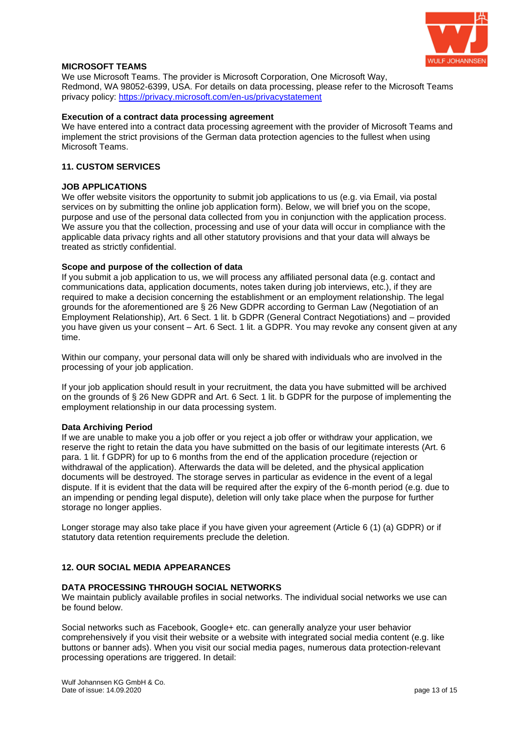

### **MICROSOFT TEAMS**

We use Microsoft Teams. The provider is Microsoft Corporation, One Microsoft Way, Redmond, WA 98052-6399, USA. For details on data processing, please refer to the Microsoft Teams privacy policy:<https://privacy.microsoft.com/en-us/privacystatement>

#### **Execution of a contract data processing agreement**

We have entered into a contract data processing agreement with the provider of Microsoft Teams and implement the strict provisions of the German data protection agencies to the fullest when using Microsoft Teams.

### **11. CUSTOM SERVICES**

#### **JOB APPLICATIONS**

We offer website visitors the opportunity to submit job applications to us (e.g. via Email, via postal services on by submitting the online job application form). Below, we will brief you on the scope, purpose and use of the personal data collected from you in conjunction with the application process. We assure you that the collection, processing and use of your data will occur in compliance with the applicable data privacy rights and all other statutory provisions and that your data will always be treated as strictly confidential.

#### **Scope and purpose of the collection of data**

If you submit a job application to us, we will process any affiliated personal data (e.g. contact and communications data, application documents, notes taken during job interviews, etc.), if they are required to make a decision concerning the establishment or an employment relationship. The legal grounds for the aforementioned are § 26 New GDPR according to German Law (Negotiation of an Employment Relationship), Art. 6 Sect. 1 lit. b GDPR (General Contract Negotiations) and – provided you have given us your consent – Art. 6 Sect. 1 lit. a GDPR. You may revoke any consent given at any time.

Within our company, your personal data will only be shared with individuals who are involved in the processing of your job application.

If your job application should result in your recruitment, the data you have submitted will be archived on the grounds of § 26 New GDPR and Art. 6 Sect. 1 lit. b GDPR for the purpose of implementing the employment relationship in our data processing system.

#### **Data Archiving Period**

If we are unable to make you a job offer or you reject a job offer or withdraw your application, we reserve the right to retain the data you have submitted on the basis of our legitimate interests (Art. 6 para. 1 lit. f GDPR) for up to 6 months from the end of the application procedure (rejection or withdrawal of the application). Afterwards the data will be deleted, and the physical application documents will be destroyed. The storage serves in particular as evidence in the event of a legal dispute. If it is evident that the data will be required after the expiry of the 6-month period (e.g. due to an impending or pending legal dispute), deletion will only take place when the purpose for further storage no longer applies.

Longer storage may also take place if you have given your agreement (Article 6 (1) (a) GDPR) or if statutory data retention requirements preclude the deletion.

### **12. OUR SOCIAL MEDIA APPEARANCES**

#### **DATA PROCESSING THROUGH SOCIAL NETWORKS**

We maintain publicly available profiles in social networks. The individual social networks we use can be found below.

Social networks such as Facebook, Google+ etc. can generally analyze your user behavior comprehensively if you visit their website or a website with integrated social media content (e.g. like buttons or banner ads). When you visit our social media pages, numerous data protection-relevant processing operations are triggered. In detail: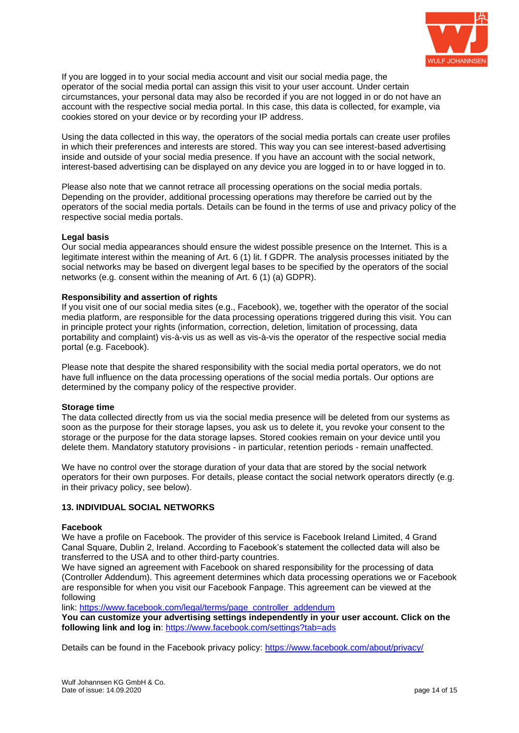

If you are logged in to your social media account and visit our social media page, the operator of the social media portal can assign this visit to your user account. Under certain circumstances, your personal data may also be recorded if you are not logged in or do not have an account with the respective social media portal. In this case, this data is collected, for example, via cookies stored on your device or by recording your IP address.

Using the data collected in this way, the operators of the social media portals can create user profiles in which their preferences and interests are stored. This way you can see interest-based advertising inside and outside of your social media presence. If you have an account with the social network, interest-based advertising can be displayed on any device you are logged in to or have logged in to.

Please also note that we cannot retrace all processing operations on the social media portals. Depending on the provider, additional processing operations may therefore be carried out by the operators of the social media portals. Details can be found in the terms of use and privacy policy of the respective social media portals.

#### **Legal basis**

Our social media appearances should ensure the widest possible presence on the Internet. This is a legitimate interest within the meaning of Art. 6 (1) lit. f GDPR. The analysis processes initiated by the social networks may be based on divergent legal bases to be specified by the operators of the social networks (e.g. consent within the meaning of Art. 6 (1) (a) GDPR).

### **Responsibility and assertion of rights**

If you visit one of our social media sites (e.g., Facebook), we, together with the operator of the social media platform, are responsible for the data processing operations triggered during this visit. You can in principle protect your rights (information, correction, deletion, limitation of processing, data portability and complaint) vis-à-vis us as well as vis-à-vis the operator of the respective social media portal (e.g. Facebook).

Please note that despite the shared responsibility with the social media portal operators, we do not have full influence on the data processing operations of the social media portals. Our options are determined by the company policy of the respective provider.

#### **Storage time**

The data collected directly from us via the social media presence will be deleted from our systems as soon as the purpose for their storage lapses, you ask us to delete it, you revoke your consent to the storage or the purpose for the data storage lapses. Stored cookies remain on your device until you delete them. Mandatory statutory provisions - in particular, retention periods - remain unaffected.

We have no control over the storage duration of your data that are stored by the social network operators for their own purposes. For details, please contact the social network operators directly (e.g. in their privacy policy, see below).

### **13. INDIVIDUAL SOCIAL NETWORKS**

#### **Facebook**

We have a profile on Facebook. The provider of this service is Facebook Ireland Limited, 4 Grand Canal Square, Dublin 2, Ireland. According to Facebook's statement the collected data will also be transferred to the USA and to other third-party countries.

We have signed an agreement with Facebook on shared responsibility for the processing of data (Controller Addendum). This agreement determines which data processing operations we or Facebook are responsible for when you visit our Facebook Fanpage. This agreement can be viewed at the following

link: [https://www.facebook.com/legal/terms/page\\_controller\\_addendum](https://www.facebook.com/legal/terms/page_controller_addendum)

**You can customize your advertising settings independently in your user account. Click on the following link and log in**:<https://www.facebook.com/settings?tab=ads>

Details can be found in the Facebook privacy policy:<https://www.facebook.com/about/privacy/>